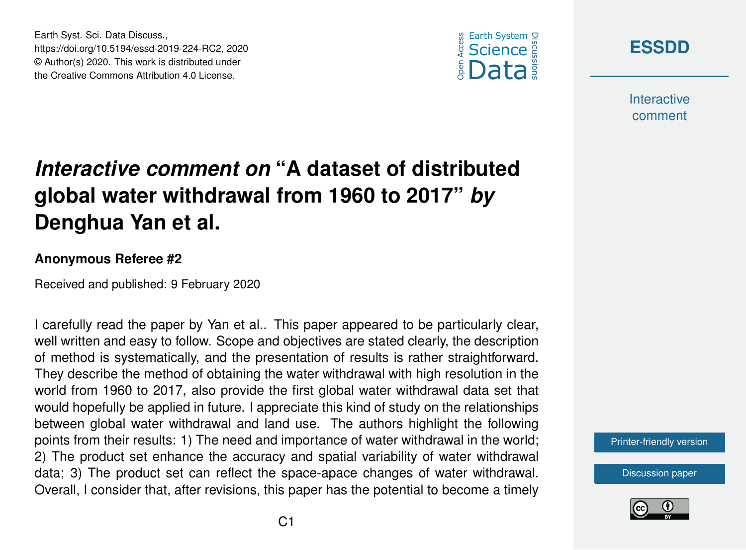

**[ESSDD](https://www.earth-syst-sci-data-discuss.net/)**

**Interactive** comment

## *Interactive comment on* **"A dataset of distributed global water withdrawal from 1960 to 2017"** *by* **Denghua Yan et al.**

## **Anonymous Referee #2**

Earth Syst. Sci. Data Discuss.,

https://doi.org/10.5194/essd-2019-224-RC2, 2020 © Author(s) 2020. This work is distributed under the Creative Commons Attribution 4.0 License.

Received and published: 9 February 2020

I carefully read the paper by Yan et al.. This paper appeared to be particularly clear, well written and easy to follow. Scope and objectives are stated clearly, the description of method is systematically, and the presentation of results is rather straightforward. They describe the method of obtaining the water withdrawal with high resolution in the world from 1960 to 2017, also provide the first global water withdrawal data set that would hopefully be applied in future. I appreciate this kind of study on the relationships between global water withdrawal and land use. The authors highlight the following points from their results: 1) The need and importance of water withdrawal in the world; 2) The product set enhance the accuracy and spatial variability of water withdrawal data; 3) The product set can reflect the space-apace changes of water withdrawal. Overall, I consider that, after revisions, this paper has the potential to become a timely

[Printer-friendly version](https://www.earth-syst-sci-data-discuss.net/essd-2019-224/essd-2019-224-RC2-print.pdf)

[Discussion paper](https://www.earth-syst-sci-data-discuss.net/essd-2019-224)